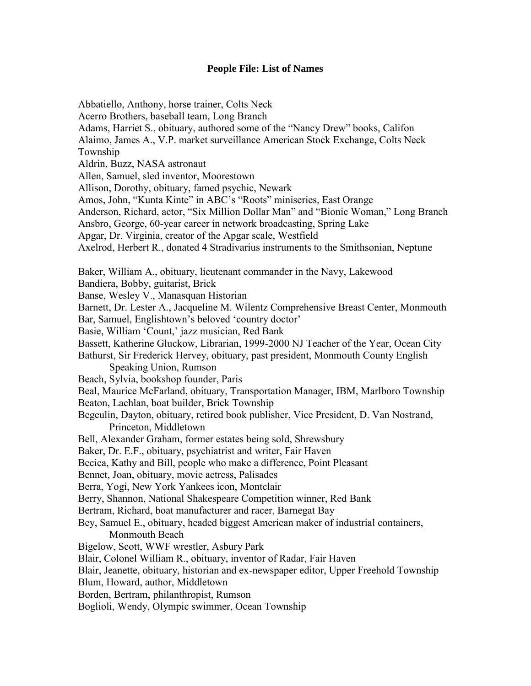## **People File: List of Names**

Abbatiello, Anthony, horse trainer, Colts Neck Acerro Brothers, baseball team, Long Branch Adams, Harriet S., obituary, authored some of the "Nancy Drew" books, Califon Alaimo, James A., V.P. market surveillance American Stock Exchange, Colts Neck Township Aldrin, Buzz, NASA astronaut Allen, Samuel, sled inventor, Moorestown Allison, Dorothy, obituary, famed psychic, Newark Amos, John, "Kunta Kinte" in ABC's "Roots" miniseries, East Orange Anderson, Richard, actor, "Six Million Dollar Man" and "Bionic Woman," Long Branch Ansbro, George, 60-year career in network broadcasting, Spring Lake Apgar, Dr. Virginia, creator of the Apgar scale, Westfield Axelrod, Herbert R., donated 4 Stradivarius instruments to the Smithsonian, Neptune Baker, William A., obituary, lieutenant commander in the Navy, Lakewood Bandiera, Bobby, guitarist, Brick Banse, Wesley V., Manasquan Historian Barnett, Dr. Lester A., Jacqueline M. Wilentz Comprehensive Breast Center, Monmouth Bar, Samuel, Englishtown's beloved 'country doctor' Basie, William 'Count,' jazz musician, Red Bank Bassett, Katherine Gluckow, Librarian, 1999-2000 NJ Teacher of the Year, Ocean City Bathurst, Sir Frederick Hervey, obituary, past president, Monmouth County English Speaking Union, Rumson Beach, Sylvia, bookshop founder, Paris Beal, Maurice McFarland, obituary, Transportation Manager, IBM, Marlboro Township Beaton, Lachlan, boat builder, Brick Township Begeulin, Dayton, obituary, retired book publisher, Vice President, D. Van Nostrand, Princeton, Middletown Bell, Alexander Graham, former estates being sold, Shrewsbury Baker, Dr. E.F., obituary, psychiatrist and writer, Fair Haven Becica, Kathy and Bill, people who make a difference, Point Pleasant Bennet, Joan, obituary, movie actress, Palisades Berra, Yogi, New York Yankees icon, Montclair Berry, Shannon, National Shakespeare Competition winner, Red Bank Bertram, Richard, boat manufacturer and racer, Barnegat Bay Bey, Samuel E., obituary, headed biggest American maker of industrial containers, Monmouth Beach Bigelow, Scott, WWF wrestler, Asbury Park Blair, Colonel William R., obituary, inventor of Radar, Fair Haven Blair, Jeanette, obituary, historian and ex-newspaper editor, Upper Freehold Township Blum, Howard, author, Middletown Borden, Bertram, philanthropist, Rumson Boglioli, Wendy, Olympic swimmer, Ocean Township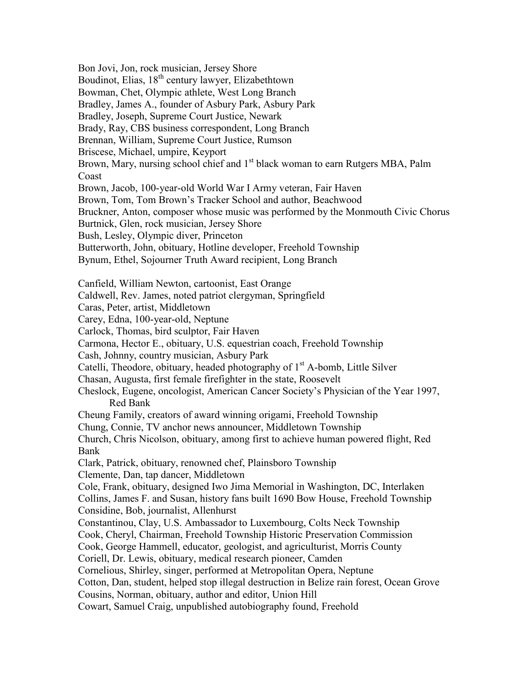Bon Jovi, Jon, rock musician, Jersey Shore Boudinot, Elias, 18<sup>th</sup> century lawyer, Elizabethtown Bowman, Chet, Olympic athlete, West Long Branch Bradley, James A., founder of Asbury Park, Asbury Park Bradley, Joseph, Supreme Court Justice, Newark Brady, Ray, CBS business correspondent, Long Branch Brennan, William, Supreme Court Justice, Rumson Briscese, Michael, umpire, Keyport Brown, Mary, nursing school chief and 1<sup>st</sup> black woman to earn Rutgers MBA, Palm Coast Brown, Jacob, 100-year-old World War I Army veteran, Fair Haven Brown, Tom, Tom Brown's Tracker School and author, Beachwood Bruckner, Anton, composer whose music was performed by the Monmouth Civic Chorus Burtnick, Glen, rock musician, Jersey Shore Bush, Lesley, Olympic diver, Princeton Butterworth, John, obituary, Hotline developer, Freehold Township Bynum, Ethel, Sojourner Truth Award recipient, Long Branch Canfield, William Newton, cartoonist, East Orange Caldwell, Rev. James, noted patriot clergyman, Springfield Caras, Peter, artist, Middletown Carey, Edna, 100-year-old, Neptune Carlock, Thomas, bird sculptor, Fair Haven Carmona, Hector E., obituary, U.S. equestrian coach, Freehold Township Cash, Johnny, country musician, Asbury Park Catelli, Theodore, obituary, headed photography of  $1<sup>st</sup>$  A-bomb, Little Silver Chasan, Augusta, first female firefighter in the state, Roosevelt Cheslock, Eugene, oncologist, American Cancer Society's Physician of the Year 1997, Red Bank Cheung Family, creators of award winning origami, Freehold Township Chung, Connie, TV anchor news announcer, Middletown Township Church, Chris Nicolson, obituary, among first to achieve human powered flight, Red Bank Clark, Patrick, obituary, renowned chef, Plainsboro Township Clemente, Dan, tap dancer, Middletown Cole, Frank, obituary, designed Iwo Jima Memorial in Washington, DC, Interlaken Collins, James F. and Susan, history fans built 1690 Bow House, Freehold Township Considine, Bob, journalist, Allenhurst Constantinou, Clay, U.S. Ambassador to Luxembourg, Colts Neck Township Cook, Cheryl, Chairman, Freehold Township Historic Preservation Commission Cook, George Hammell, educator, geologist, and agriculturist, Morris County Coriell, Dr. Lewis, obituary, medical research pioneer, Camden Cornelious, Shirley, singer, performed at Metropolitan Opera, Neptune Cotton, Dan, student, helped stop illegal destruction in Belize rain forest, Ocean Grove Cousins, Norman, obituary, author and editor, Union Hill Cowart, Samuel Craig, unpublished autobiography found, Freehold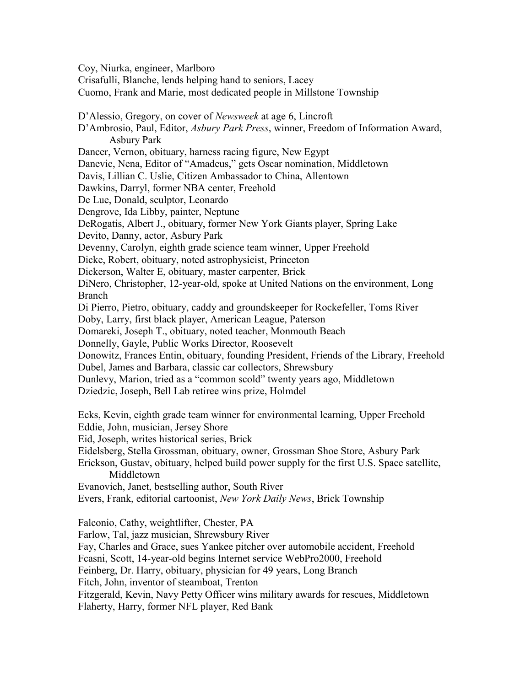Coy, Niurka, engineer, Marlboro Crisafulli, Blanche, lends helping hand to seniors, Lacey Cuomo, Frank and Marie, most dedicated people in Millstone Township D'Alessio, Gregory, on cover of *Newsweek* at age 6, Lincroft D'Ambrosio, Paul, Editor, *Asbury Park Press*, winner, Freedom of Information Award, Asbury Park Dancer, Vernon, obituary, harness racing figure, New Egypt Danevic, Nena, Editor of "Amadeus," gets Oscar nomination, Middletown Davis, Lillian C. Uslie, Citizen Ambassador to China, Allentown Dawkins, Darryl, former NBA center, Freehold De Lue, Donald, sculptor, Leonardo Dengrove, Ida Libby, painter, Neptune DeRogatis, Albert J., obituary, former New York Giants player, Spring Lake Devito, Danny, actor, Asbury Park Devenny, Carolyn, eighth grade science team winner, Upper Freehold Dicke, Robert, obituary, noted astrophysicist, Princeton Dickerson, Walter E, obituary, master carpenter, Brick DiNero, Christopher, 12-year-old, spoke at United Nations on the environment, Long Branch Di Pierro, Pietro, obituary, caddy and groundskeeper for Rockefeller, Toms River Doby, Larry, first black player, American League, Paterson Domareki, Joseph T., obituary, noted teacher, Monmouth Beach Donnelly, Gayle, Public Works Director, Roosevelt Donowitz, Frances Entin, obituary, founding President, Friends of the Library, Freehold Dubel, James and Barbara, classic car collectors, Shrewsbury Dunlevy, Marion, tried as a "common scold" twenty years ago, Middletown Dziedzic, Joseph, Bell Lab retiree wins prize, Holmdel Ecks, Kevin, eighth grade team winner for environmental learning, Upper Freehold Eddie, John, musician, Jersey Shore Eid, Joseph, writes historical series, Brick Eidelsberg, Stella Grossman, obituary, owner, Grossman Shoe Store, Asbury Park Erickson, Gustav, obituary, helped build power supply for the first U.S. Space satellite, Middletown Evanovich, Janet, bestselling author, South River Evers, Frank, editorial cartoonist, *New York Daily News*, Brick Township Falconio, Cathy, weightlifter, Chester, PA Farlow, Tal, jazz musician, Shrewsbury River Fay, Charles and Grace, sues Yankee pitcher over automobile accident, Freehold Fcasni, Scott, 14-year-old begins Internet service WebPro2000, Freehold Feinberg, Dr. Harry, obituary, physician for 49 years, Long Branch Fitch, John, inventor of steamboat, Trenton Fitzgerald, Kevin, Navy Petty Officer wins military awards for rescues, Middletown Flaherty, Harry, former NFL player, Red Bank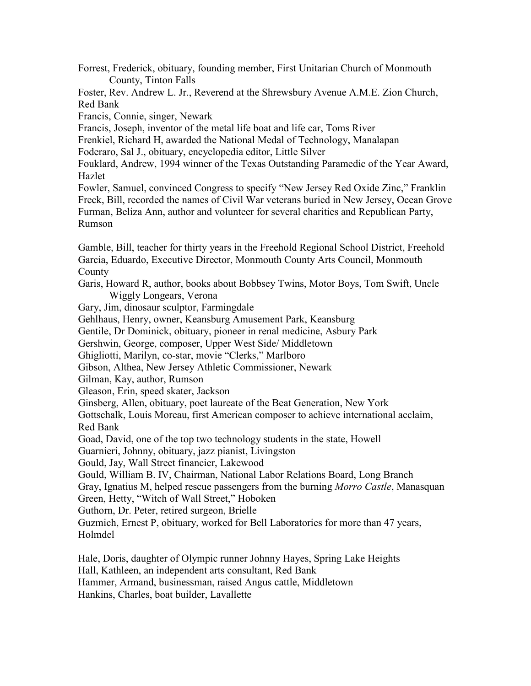Forrest, Frederick, obituary, founding member, First Unitarian Church of Monmouth County, Tinton Falls

Foster, Rev. Andrew L. Jr., Reverend at the Shrewsbury Avenue A.M.E. Zion Church, Red Bank

Francis, Connie, singer, Newark

Francis, Joseph, inventor of the metal life boat and life car, Toms River

Frenkiel, Richard H, awarded the National Medal of Technology, Manalapan

Foderaro, Sal J., obituary, encyclopedia editor, Little Silver

Fouklard, Andrew, 1994 winner of the Texas Outstanding Paramedic of the Year Award, Hazlet

Fowler, Samuel, convinced Congress to specify "New Jersey Red Oxide Zinc," Franklin Freck, Bill, recorded the names of Civil War veterans buried in New Jersey, Ocean Grove Furman, Beliza Ann, author and volunteer for several charities and Republican Party, Rumson

Gamble, Bill, teacher for thirty years in the Freehold Regional School District, Freehold Garcia, Eduardo, Executive Director, Monmouth County Arts Council, Monmouth County

Garis, Howard R, author, books about Bobbsey Twins, Motor Boys, Tom Swift, Uncle Wiggly Longears, Verona

Gary, Jim, dinosaur sculptor, Farmingdale

Gehlhaus, Henry, owner, Keansburg Amusement Park, Keansburg

Gentile, Dr Dominick, obituary, pioneer in renal medicine, Asbury Park

Gershwin, George, composer, Upper West Side/ Middletown

Ghigliotti, Marilyn, co-star, movie "Clerks," Marlboro

Gibson, Althea, New Jersey Athletic Commissioner, Newark

Gilman, Kay, author, Rumson

Gleason, Erin, speed skater, Jackson

Ginsberg, Allen, obituary, poet laureate of the Beat Generation, New York

Gottschalk, Louis Moreau, first American composer to achieve international acclaim, Red Bank

Goad, David, one of the top two technology students in the state, Howell

Guarnieri, Johnny, obituary, jazz pianist, Livingston

Gould, Jay, Wall Street financier, Lakewood

Gould, William B. IV, Chairman, National Labor Relations Board, Long Branch

Gray, Ignatius M, helped rescue passengers from the burning *Morro Castle*, Manasquan

Green, Hetty, "Witch of Wall Street," Hoboken

Guthorn, Dr. Peter, retired surgeon, Brielle

Guzmich, Ernest P, obituary, worked for Bell Laboratories for more than 47 years, Holmdel

Hale, Doris, daughter of Olympic runner Johnny Hayes, Spring Lake Heights Hall, Kathleen, an independent arts consultant, Red Bank Hammer, Armand, businessman, raised Angus cattle, Middletown Hankins, Charles, boat builder, Lavallette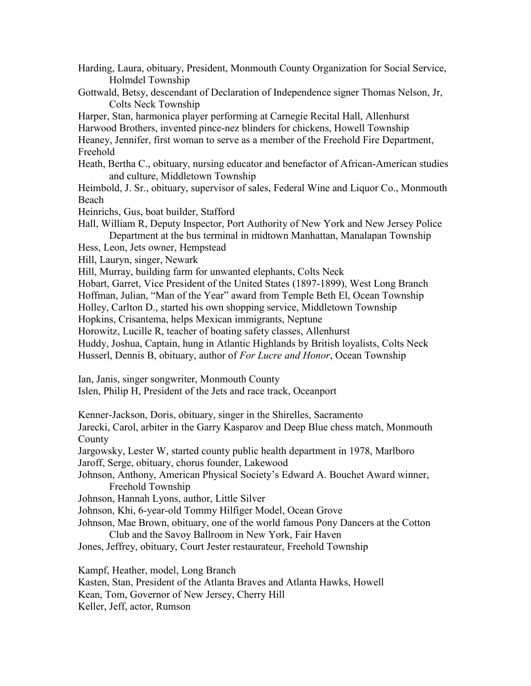Harding, Laura, obituary, President, Monmouth County Organization for Social Service, Holmdel Township

Gottwald, Betsy, descendant of Declaration of Independence signer Thomas Nelson, Jr, Colts Neck Township

Harper, Stan, harmonica player performing at Carnegie Recital Hall, Allenhurst Harwood Brothers, invented pince-nez blinders for chickens, Howell Township Heaney, Jennifer, first woman to serve as a member of the Freehold Fire Department,

Freehold

Heath, Bertha C., obituary, nursing educator and benefactor of African-American studies and culture, Middletown Township

Heimbold, J. Sr., obituary, supervisor of sales, Federal Wine and Liquor Co., Monmouth Beach

Heinrichs, Gus, boat builder, Stafford

Hall, William R, Deputy Inspector, Port Authority of New York and New Jersey Police Department at the bus terminal in midtown Manhattan, Manalapan Township

Hess, Leon, Jets owner, Hempstead

Hill, Lauryn, singer, Newark

Hill, Murray, building farm for unwanted elephants, Colts Neck

Hobart, Garret, Vice President of the United States (1897-1899), West Long Branch Hoffman, Julian, "Man of the Year" award from Temple Beth El, Ocean Township

Holley, Carlton D., started his own shopping service, Middletown Township

Hopkins, Crisantema, helps Mexican immigrants, Neptune

Horowitz, Lucille R, teacher of boating safety classes, Allenhurst

Huddy, Joshua, Captain, hung in Atlantic Highlands by British loyalists, Colts Neck Husserl, Dennis B, obituary, author of *For Lucre and Honor*, Ocean Township

Ian, Janis, singer songwriter, Monmouth County

Islen, Philip H, President of the Jets and race track, Oceanport

Kenner-Jackson, Doris, obituary, singer in the Shirelles, Sacramento Jarecki, Carol, arbiter in the Garry Kasparov and Deep Blue chess match, Monmouth County

Jargowsky, Lester W, started county public health department in 1978, Marlboro Jaroff, Serge, obituary, chorus founder, Lakewood

Johnson, Anthony, American Physical Society's Edward A. Bouchet Award winner, Freehold Township

Johnson, Hannah Lyons, author, Little Silver

Johnson, Khi, 6-year-old Tommy Hilfiger Model, Ocean Grove

Johnson, Mae Brown, obituary, one of the world famous Pony Dancers at the Cotton Club and the Savoy Ballroom in New York, Fair Haven

Jones, Jeffrey, obituary, Court Jester restaurateur, Freehold Township

Kampf, Heather, model, Long Branch

Kasten, Stan, President of the Atlanta Braves and Atlanta Hawks, Howell

Kean, Tom, Governor of New Jersey, Cherry Hill

Keller, Jeff, actor, Rumson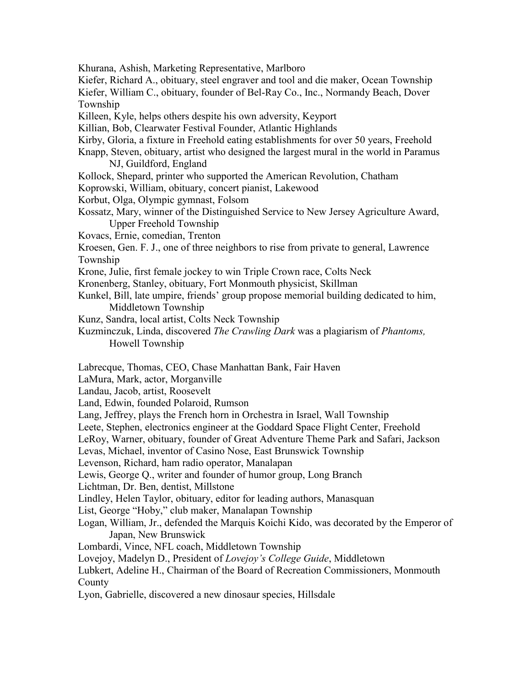Khurana, Ashish, Marketing Representative, Marlboro

Kiefer, Richard A., obituary, steel engraver and tool and die maker, Ocean Township Kiefer, William C., obituary, founder of Bel-Ray Co., Inc., Normandy Beach, Dover Township

Killeen, Kyle, helps others despite his own adversity, Keyport

Killian, Bob, Clearwater Festival Founder, Atlantic Highlands

Kirby, Gloria, a fixture in Freehold eating establishments for over 50 years, Freehold

Knapp, Steven, obituary, artist who designed the largest mural in the world in Paramus NJ, Guildford, England

Kollock, Shepard, printer who supported the American Revolution, Chatham

Koprowski, William, obituary, concert pianist, Lakewood

Korbut, Olga, Olympic gymnast, Folsom

Kossatz, Mary, winner of the Distinguished Service to New Jersey Agriculture Award, Upper Freehold Township

Kovacs, Ernie, comedian, Trenton

Kroesen, Gen. F. J., one of three neighbors to rise from private to general, Lawrence Township

Krone, Julie, first female jockey to win Triple Crown race, Colts Neck

Kronenberg, Stanley, obituary, Fort Monmouth physicist, Skillman

Kunkel, Bill, late umpire, friends' group propose memorial building dedicated to him, Middletown Township

Kunz, Sandra, local artist, Colts Neck Township

Kuzminczuk, Linda, discovered *The Crawling Dark* was a plagiarism of *Phantoms,* Howell Township

Labrecque, Thomas, CEO, Chase Manhattan Bank, Fair Haven

LaMura, Mark, actor, Morganville

Landau, Jacob, artist, Roosevelt

Land, Edwin, founded Polaroid, Rumson

Lang, Jeffrey, plays the French horn in Orchestra in Israel, Wall Township

Leete, Stephen, electronics engineer at the Goddard Space Flight Center, Freehold

LeRoy, Warner, obituary, founder of Great Adventure Theme Park and Safari, Jackson

Levas, Michael, inventor of Casino Nose, East Brunswick Township

Levenson, Richard, ham radio operator, Manalapan

Lewis, George Q., writer and founder of humor group, Long Branch

Lichtman, Dr. Ben, dentist, Millstone

Lindley, Helen Taylor, obituary, editor for leading authors, Manasquan

List, George "Hoby," club maker, Manalapan Township

Logan, William, Jr., defended the Marquis Koichi Kido, was decorated by the Emperor of Japan, New Brunswick

Lombardi, Vince, NFL coach, Middletown Township

Lovejoy, Madelyn D., President of *Lovejoy's College Guide*, Middletown

Lubkert, Adeline H., Chairman of the Board of Recreation Commissioners, Monmouth **County** 

Lyon, Gabrielle, discovered a new dinosaur species, Hillsdale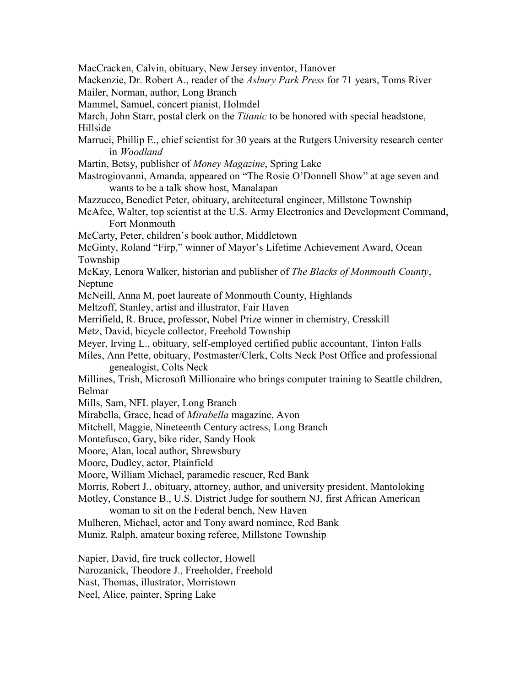MacCracken, Calvin, obituary, New Jersey inventor, Hanover

Mackenzie, Dr. Robert A., reader of the *Asbury Park Press* for 71 years, Toms River Mailer, Norman, author, Long Branch

Mammel, Samuel, concert pianist, Holmdel

March, John Starr, postal clerk on the *Titanic* to be honored with special headstone, Hillside

- Marruci, Phillip E., chief scientist for 30 years at the Rutgers University research center in *Woodland*
- Martin, Betsy, publisher of *Money Magazine*, Spring Lake
- Mastrogiovanni, Amanda, appeared on "The Rosie O'Donnell Show" at age seven and wants to be a talk show host, Manalapan
- Mazzucco, Benedict Peter, obituary, architectural engineer, Millstone Township

McAfee, Walter, top scientist at the U.S. Army Electronics and Development Command, Fort Monmouth

McCarty, Peter, children's book author, Middletown

McGinty, Roland "Firp," winner of Mayor's Lifetime Achievement Award, Ocean Township

McKay, Lenora Walker, historian and publisher of *The Blacks of Monmouth County*, Neptune

McNeill, Anna M, poet laureate of Monmouth County, Highlands

Meltzoff, Stanley, artist and illustrator, Fair Haven

Merrifield, R. Bruce, professor, Nobel Prize winner in chemistry, Cresskill

Metz, David, bicycle collector, Freehold Township

Meyer, Irving L., obituary, self-employed certified public accountant, Tinton Falls

Miles, Ann Pette, obituary, Postmaster/Clerk, Colts Neck Post Office and professional genealogist, Colts Neck

Millines, Trish, Microsoft Millionaire who brings computer training to Seattle children, Belmar

Mills, Sam, NFL player, Long Branch

Mirabella, Grace, head of *Mirabella* magazine, Avon

Mitchell, Maggie, Nineteenth Century actress, Long Branch

Montefusco, Gary, bike rider, Sandy Hook

Moore, Alan, local author, Shrewsbury

Moore, Dudley, actor, Plainfield

Moore, William Michael, paramedic rescuer, Red Bank

Morris, Robert J., obituary, attorney, author, and university president, Mantoloking

Motley, Constance B., U.S. District Judge for southern NJ, first African American

woman to sit on the Federal bench, New Haven

Mulheren, Michael, actor and Tony award nominee, Red Bank

Muniz, Ralph, amateur boxing referee, Millstone Township

Napier, David, fire truck collector, Howell

Narozanick, Theodore J., Freeholder, Freehold

Nast, Thomas, illustrator, Morristown

Neel, Alice, painter, Spring Lake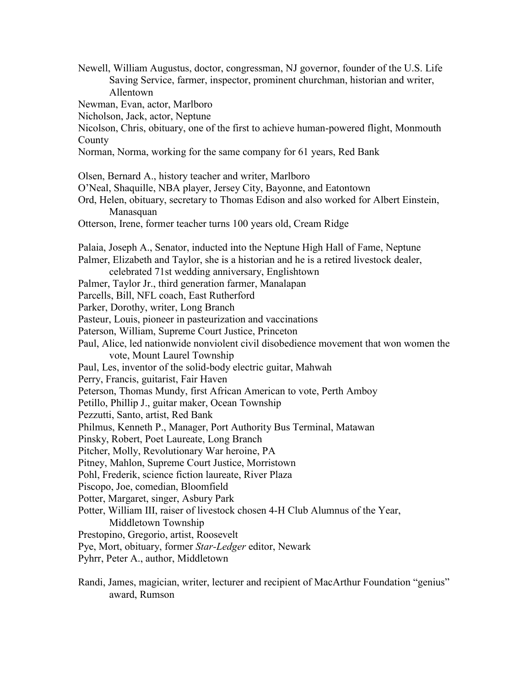Newell, William Augustus, doctor, congressman, NJ governor, founder of the U.S. Life Saving Service, farmer, inspector, prominent churchman, historian and writer, Allentown Newman, Evan, actor, Marlboro Nicholson, Jack, actor, Neptune Nicolson, Chris, obituary, one of the first to achieve human-powered flight, Monmouth County Norman, Norma, working for the same company for 61 years, Red Bank Olsen, Bernard A., history teacher and writer, Marlboro O'Neal, Shaquille, NBA player, Jersey City, Bayonne, and Eatontown Ord, Helen, obituary, secretary to Thomas Edison and also worked for Albert Einstein, Manasquan Otterson, Irene, former teacher turns 100 years old, Cream Ridge Palaia, Joseph A., Senator, inducted into the Neptune High Hall of Fame, Neptune Palmer, Elizabeth and Taylor, she is a historian and he is a retired livestock dealer, celebrated 71st wedding anniversary, Englishtown Palmer, Taylor Jr., third generation farmer, Manalapan Parcells, Bill, NFL coach, East Rutherford Parker, Dorothy, writer, Long Branch Pasteur, Louis, pioneer in pasteurization and vaccinations Paterson, William, Supreme Court Justice, Princeton Paul, Alice, led nationwide nonviolent civil disobedience movement that won women the vote, Mount Laurel Township Paul, Les, inventor of the solid-body electric guitar, Mahwah Perry, Francis, guitarist, Fair Haven Peterson, Thomas Mundy, first African American to vote, Perth Amboy Petillo, Phillip J., guitar maker, Ocean Township Pezzutti, Santo, artist, Red Bank Philmus, Kenneth P., Manager, Port Authority Bus Terminal, Matawan Pinsky, Robert, Poet Laureate, Long Branch Pitcher, Molly, Revolutionary War heroine, PA Pitney, Mahlon, Supreme Court Justice, Morristown Pohl, Frederik, science fiction laureate, River Plaza Piscopo, Joe, comedian, Bloomfield Potter, Margaret, singer, Asbury Park Potter, William III, raiser of livestock chosen 4-H Club Alumnus of the Year, Middletown Township Prestopino, Gregorio, artist, Roosevelt Pye, Mort, obituary, former *Star-Ledger* editor, Newark Pyhrr, Peter A., author, Middletown Randi, James, magician, writer, lecturer and recipient of MacArthur Foundation "genius" award, Rumson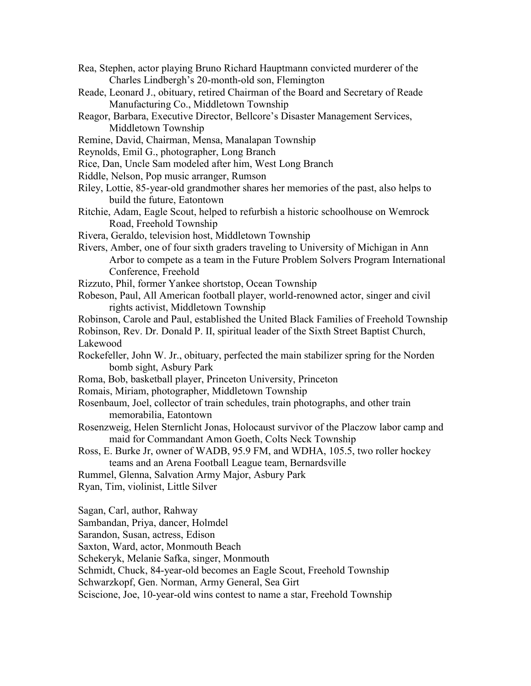- Rea, Stephen, actor playing Bruno Richard Hauptmann convicted murderer of the Charles Lindbergh's 20-month-old son, Flemington
- Reade, Leonard J., obituary, retired Chairman of the Board and Secretary of Reade Manufacturing Co., Middletown Township
- Reagor, Barbara, Executive Director, Bellcore's Disaster Management Services, Middletown Township
- Remine, David, Chairman, Mensa, Manalapan Township
- Reynolds, Emil G., photographer, Long Branch
- Rice, Dan, Uncle Sam modeled after him, West Long Branch
- Riddle, Nelson, Pop music arranger, Rumson
- Riley, Lottie, 85-year-old grandmother shares her memories of the past, also helps to build the future, Eatontown
- Ritchie, Adam, Eagle Scout, helped to refurbish a historic schoolhouse on Wemrock Road, Freehold Township
- Rivera, Geraldo, television host, Middletown Township
- Rivers, Amber, one of four sixth graders traveling to University of Michigan in Ann Arbor to compete as a team in the Future Problem Solvers Program International Conference, Freehold
- Rizzuto, Phil, former Yankee shortstop, Ocean Township
- Robeson, Paul, All American football player, world-renowned actor, singer and civil rights activist, Middletown Township

Robinson, Carole and Paul, established the United Black Families of Freehold Township Robinson, Rev. Dr. Donald P. II, spiritual leader of the Sixth Street Baptist Church, Lakewood

- Rockefeller, John W. Jr., obituary, perfected the main stabilizer spring for the Norden bomb sight, Asbury Park
- Roma, Bob, basketball player, Princeton University, Princeton
- Romais, Miriam, photographer, Middletown Township
- Rosenbaum, Joel, collector of train schedules, train photographs, and other train memorabilia, Eatontown
- Rosenzweig, Helen Sternlicht Jonas, Holocaust survivor of the Placzow labor camp and maid for Commandant Amon Goeth, Colts Neck Township
- Ross, E. Burke Jr, owner of WADB, 95.9 FM, and WDHA, 105.5, two roller hockey teams and an Arena Football League team, Bernardsville
- Rummel, Glenna, Salvation Army Major, Asbury Park
- Ryan, Tim, violinist, Little Silver

Sagan, Carl, author, Rahway

Sambandan, Priya, dancer, Holmdel

- Sarandon, Susan, actress, Edison
- Saxton, Ward, actor, Monmouth Beach

Schekeryk, Melanie Safka, singer, Monmouth

Schmidt, Chuck, 84-year-old becomes an Eagle Scout, Freehold Township

Schwarzkopf, Gen. Norman, Army General, Sea Girt

Sciscione, Joe, 10-year-old wins contest to name a star, Freehold Township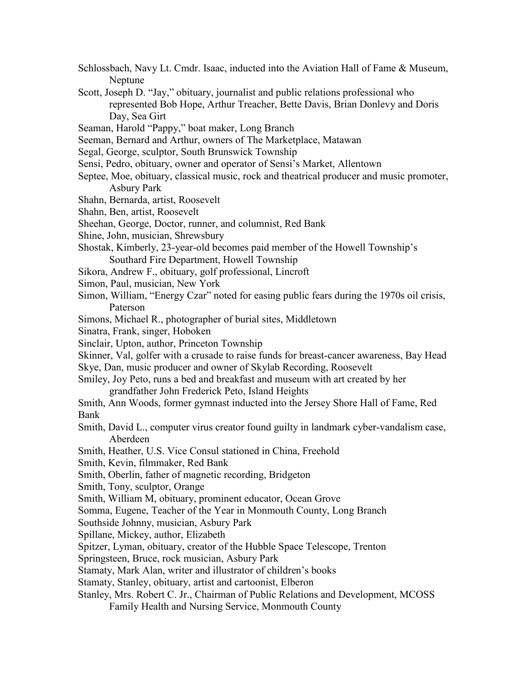- Schlossbach, Navy Lt. Cmdr. Isaac, inducted into the Aviation Hall of Fame & Museum, Neptune
- Scott, Joseph D. "Jay," obituary, journalist and public relations professional who represented Bob Hope, Arthur Treacher, Bette Davis, Brian Donlevy and Doris Day, Sea Girt
- Seaman, Harold "Pappy," boat maker, Long Branch
- Seeman, Bernard and Arthur, owners of The Marketplace, Matawan
- Segal, George, sculptor, South Brunswick Township
- Sensi, Pedro, obituary, owner and operator of Sensi's Market, Allentown
- Septee, Moe, obituary, classical music, rock and theatrical producer and music promoter, Asbury Park
- Shahn, Bernarda, artist, Roosevelt
- Shahn, Ben, artist, Roosevelt
- Sheehan, George, Doctor, runner, and columnist, Red Bank
- Shine, John, musician, Shrewsbury
- Shostak, Kimberly, 23-year-old becomes paid member of the Howell Township's Southard Fire Department, Howell Township
- Sikora, Andrew F., obituary, golf professional, Lincroft
- Simon, Paul, musician, New York
- Simon, William, "Energy Czar" noted for easing public fears during the 1970s oil crisis, Paterson
- Simons, Michael R., photographer of burial sites, Middletown
- Sinatra, Frank, singer, Hoboken
- Sinclair, Upton, author, Princeton Township
- Skinner, Val, golfer with a crusade to raise funds for breast-cancer awareness, Bay Head Skye, Dan, music producer and owner of Skylab Recording, Roosevelt
- Smiley, Joy Peto, runs a bed and breakfast and museum with art created by her grandfather John Frederick Peto, Island Heights
- Smith, Ann Woods, former gymnast inducted into the Jersey Shore Hall of Fame, Red Bank
- Smith, David L., computer virus creator found guilty in landmark cyber-vandalism case, Aberdeen
- Smith, Heather, U.S. Vice Consul stationed in China, Freehold
- Smith, Kevin, filmmaker, Red Bank
- Smith, Oberlin, father of magnetic recording, Bridgeton
- Smith, Tony, sculptor, Orange
- Smith, William M, obituary, prominent educator, Ocean Grove
- Somma, Eugene, Teacher of the Year in Monmouth County, Long Branch
- Southside Johnny, musician, Asbury Park
- Spillane, Mickey, author, Elizabeth
- Spitzer, Lyman, obituary, creator of the Hubble Space Telescope, Trenton
- Springsteen, Bruce, rock musician, Asbury Park
- Stamaty, Mark Alan, writer and illustrator of children's books
- Stamaty, Stanley, obituary, artist and cartoonist, Elberon
- Stanley, Mrs. Robert C. Jr., Chairman of Public Relations and Development, MCOSS
	- Family Health and Nursing Service, Monmouth County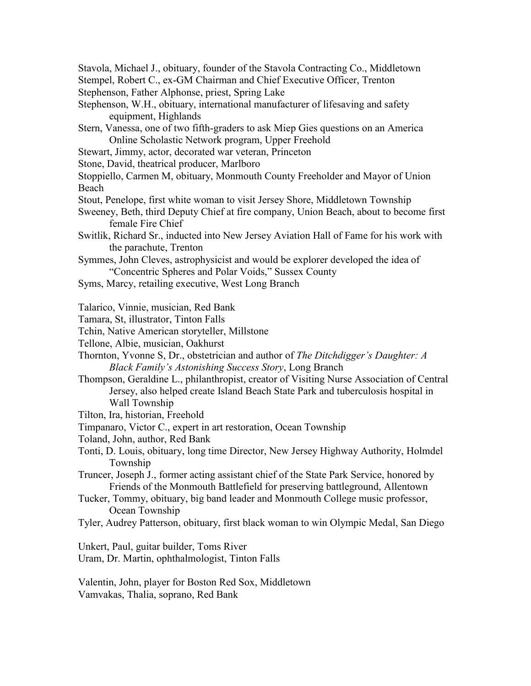- Stavola, Michael J., obituary, founder of the Stavola Contracting Co., Middletown
- Stempel, Robert C., ex-GM Chairman and Chief Executive Officer, Trenton Stephenson, Father Alphonse, priest, Spring Lake
- Stephenson, W.H., obituary, international manufacturer of lifesaving and safety
	- equipment, Highlands
- Stern, Vanessa, one of two fifth-graders to ask Miep Gies questions on an America Online Scholastic Network program, Upper Freehold
- Stewart, Jimmy, actor, decorated war veteran, Princeton
- Stone, David, theatrical producer, Marlboro
- Stoppiello, Carmen M, obituary, Monmouth County Freeholder and Mayor of Union Beach
- Stout, Penelope, first white woman to visit Jersey Shore, Middletown Township
- Sweeney, Beth, third Deputy Chief at fire company, Union Beach, about to become first female Fire Chief
- Switlik, Richard Sr., inducted into New Jersey Aviation Hall of Fame for his work with the parachute, Trenton
- Symmes, John Cleves, astrophysicist and would be explorer developed the idea of "Concentric Spheres and Polar Voids," Sussex County
- Syms, Marcy, retailing executive, West Long Branch
- Talarico, Vinnie, musician, Red Bank
- Tamara, St, illustrator, Tinton Falls
- Tchin, Native American storyteller, Millstone
- Tellone, Albie, musician, Oakhurst
- Thornton, Yvonne S, Dr., obstetrician and author of *The Ditchdigger's Daughter: A Black Family's Astonishing Success Story*, Long Branch
- Thompson, Geraldine L., philanthropist, creator of Visiting Nurse Association of Central Jersey, also helped create Island Beach State Park and tuberculosis hospital in Wall Township
- Tilton, Ira, historian, Freehold
- Timpanaro, Victor C., expert in art restoration, Ocean Township
- Toland, John, author, Red Bank
- Tonti, D. Louis, obituary, long time Director, New Jersey Highway Authority, Holmdel Township
- Truncer, Joseph J., former acting assistant chief of the State Park Service, honored by Friends of the Monmouth Battlefield for preserving battleground, Allentown
- Tucker, Tommy, obituary, big band leader and Monmouth College music professor, Ocean Township
- Tyler, Audrey Patterson, obituary, first black woman to win Olympic Medal, San Diego
- Unkert, Paul, guitar builder, Toms River Uram, Dr. Martin, ophthalmologist, Tinton Falls
- Valentin, John, player for Boston Red Sox, Middletown Vamvakas, Thalia, soprano, Red Bank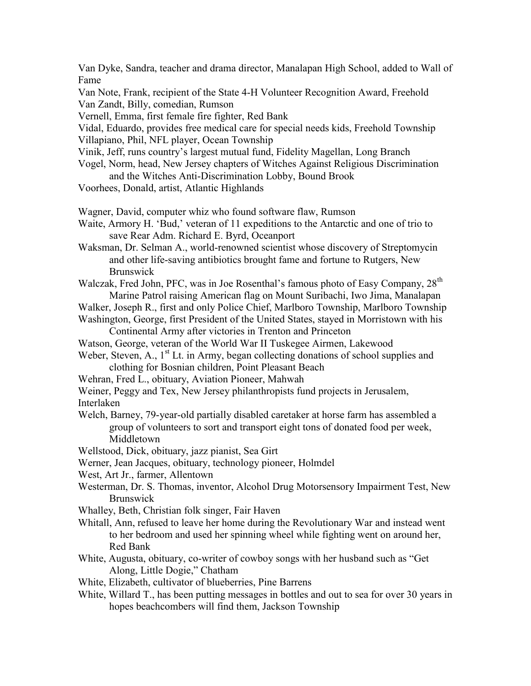Van Dyke, Sandra, teacher and drama director, Manalapan High School, added to Wall of Fame

Van Note, Frank, recipient of the State 4-H Volunteer Recognition Award, Freehold Van Zandt, Billy, comedian, Rumson

Vernell, Emma, first female fire fighter, Red Bank

Vidal, Eduardo, provides free medical care for special needs kids, Freehold Township Villapiano, Phil, NFL player, Ocean Township

Vinik, Jeff, runs country's largest mutual fund, Fidelity Magellan, Long Branch

- Vogel, Norm, head, New Jersey chapters of Witches Against Religious Discrimination and the Witches Anti-Discrimination Lobby, Bound Brook
- Voorhees, Donald, artist, Atlantic Highlands

Wagner, David, computer whiz who found software flaw, Rumson

Waite, Armory H. 'Bud,' veteran of 11 expeditions to the Antarctic and one of trio to save Rear Adm. Richard E. Byrd, Oceanport

Waksman, Dr. Selman A., world-renowned scientist whose discovery of Streptomycin and other life-saving antibiotics brought fame and fortune to Rutgers, New Brunswick

Walczak, Fred John, PFC, was in Joe Rosenthal's famous photo of Easy Company, 28<sup>th</sup> Marine Patrol raising American flag on Mount Suribachi, Iwo Jima, Manalapan

Walker, Joseph R., first and only Police Chief, Marlboro Township, Marlboro Township Washington, George, first President of the United States, stayed in Morristown with his

Continental Army after victories in Trenton and Princeton

Watson, George, veteran of the World War II Tuskegee Airmen, Lakewood

Weber, Steven, A.,  $1<sup>st</sup>$  Lt. in Army, began collecting donations of school supplies and clothing for Bosnian children, Point Pleasant Beach

Wehran, Fred L., obituary, Aviation Pioneer, Mahwah

Weiner, Peggy and Tex, New Jersey philanthropists fund projects in Jerusalem,

Interlaken

Welch, Barney, 79-year-old partially disabled caretaker at horse farm has assembled a group of volunteers to sort and transport eight tons of donated food per week, Middletown

Wellstood, Dick, obituary, jazz pianist, Sea Girt

Werner, Jean Jacques, obituary, technology pioneer, Holmdel

West, Art Jr., farmer, Allentown

- Westerman, Dr. S. Thomas, inventor, Alcohol Drug Motorsensory Impairment Test, New Brunswick
- Whalley, Beth, Christian folk singer, Fair Haven

Whitall, Ann, refused to leave her home during the Revolutionary War and instead went to her bedroom and used her spinning wheel while fighting went on around her, Red Bank

White, Augusta, obituary, co-writer of cowboy songs with her husband such as "Get Along, Little Dogie," Chatham

White, Elizabeth, cultivator of blueberries, Pine Barrens

White, Willard T., has been putting messages in bottles and out to sea for over 30 years in hopes beachcombers will find them, Jackson Township